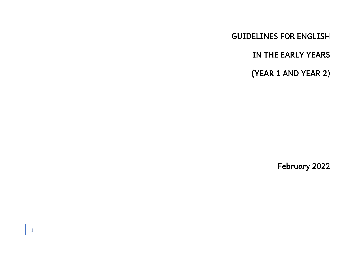GUIDELINES FOR ENGLISH

IN THE EARLY YEARS

(YEAR 1 AND YEAR 2)

February 2022

1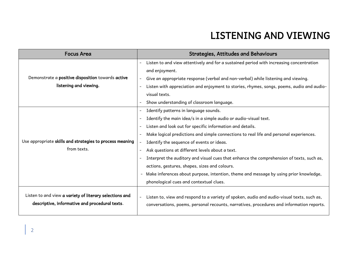## LISTENING AND VIEWING

| <b>Focus Area</b>                                                                                         | <b>Strategies, Attitudes and Behaviours</b>                                                                                                                                            |
|-----------------------------------------------------------------------------------------------------------|----------------------------------------------------------------------------------------------------------------------------------------------------------------------------------------|
|                                                                                                           | Listen to and view attentively and for a sustained period with increasing concentration<br>$\overline{\phantom{a}}$                                                                    |
|                                                                                                           | and enjoyment.                                                                                                                                                                         |
| Demonstrate a positive disposition towards active                                                         | Give an appropriate response (verbal and non-verbal) while listening and viewing.                                                                                                      |
| listening and viewing.                                                                                    | Listen with appreciation and enjoyment to stories, rhymes, songs, poems, audio and audio-                                                                                              |
|                                                                                                           | visual texts.                                                                                                                                                                          |
|                                                                                                           | Show understanding of classroom language.                                                                                                                                              |
|                                                                                                           | Identify patterns in language sounds.                                                                                                                                                  |
| Use appropriate skills and strategies to process meaning<br>from texts.                                   | Identify the main idea/s in a simple audio or audio-visual text.                                                                                                                       |
|                                                                                                           | Listen and look out for specific information and details.                                                                                                                              |
|                                                                                                           | Make logical predictions and simple connections to real life and personal experiences.                                                                                                 |
|                                                                                                           | Identify the sequence of events or ideas.                                                                                                                                              |
|                                                                                                           | Ask questions at different levels about a text.                                                                                                                                        |
|                                                                                                           | Interpret the auditory and visual cues that enhance the comprehension of texts, such as,                                                                                               |
|                                                                                                           | actions, gestures, shapes, sizes and colours.                                                                                                                                          |
|                                                                                                           | Make inferences about purpose, intention, theme and message by using prior knowledge,<br>$\blacksquare$                                                                                |
|                                                                                                           | phonological cues and contextual clues.                                                                                                                                                |
| Listen to and view a variety of literary selections and<br>descriptive, informative and procedural texts. | Listen to, view and respond to a variety of spoken, audio and audio-visual texts, such as,<br>conversations, poems, personal recounts, narratives, procedures and information reports. |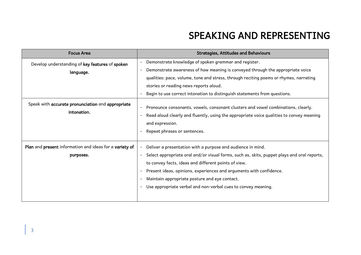## SPEAKING AND REPRESENTING

| <b>Focus Area</b>                                                    | <b>Strategies, Attitudes and Behaviours</b>                                                                                                                                                                                                                                                                                                                                                                 |
|----------------------------------------------------------------------|-------------------------------------------------------------------------------------------------------------------------------------------------------------------------------------------------------------------------------------------------------------------------------------------------------------------------------------------------------------------------------------------------------------|
| Develop understanding of key features of spoken<br>language.         | Demonstrate knowledge of spoken grammar and register.<br>Demonstrate awareness of how meaning is conveyed through the appropriate voice<br>qualities: pace, volume, tone and stress, through reciting poems or rhymes, narrating<br>stories or reading news reports aloud.<br>Begin to use correct intonation to distinguish statements from questions.                                                     |
| Speak with accurate pronunciation and appropriate<br>intonation.     | Pronounce consonants, vowels, consonant clusters and vowel combinations, clearly.<br>Read aloud clearly and fluently, using the appropriate voice qualities to convey meaning<br>and expression.<br>Repeat phrases or sentences.                                                                                                                                                                            |
| Plan and present information and ideas for a variety of<br>purposes. | Deliver a presentation with a purpose and audience in mind.<br>Select appropriate oral and/or visual forms, such as, skits, puppet plays and oral reports,<br>to convey facts, ideas and different points of view.<br>Present ideas, opinions, experiences and arguments with confidence.<br>Maintain appropriate posture and eye contact.<br>Use appropriate verbal and non-verbal cues to convey meaning. |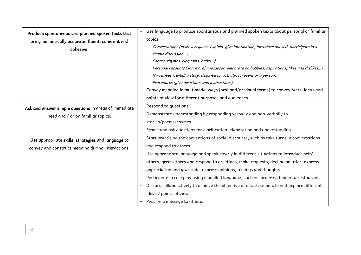| Produce spontaneous and planned spoken texts that     | Use language to produce spontaneous and planned spoken texts about personal or familiar           |
|-------------------------------------------------------|---------------------------------------------------------------------------------------------------|
| are grammatically accurate, fluent, coherent and      | topics:                                                                                           |
| cohesive.                                             | · Conversations (make a request, explain, give information, introduce oneself, participate in a   |
|                                                       | simple discussion)                                                                                |
|                                                       | · Poetry (rhymes, cinquains, haiku)                                                               |
|                                                       | · Personal recounts (share oral anecdotes, elaborate on hobbies, aspirations, likes and dislikes) |
|                                                       | · Narratives (re-tell a story, describe an activity, an event or a person)                        |
|                                                       | · Procedures (give directions and instructions)                                                   |
|                                                       | Convey meaning in multimodal ways (oral and/or visual forms) to convey facts, ideas and           |
|                                                       | points of view for different purposes and audiences.                                              |
| Ask and answer simple questions in areas of immediate | Respond to questions.                                                                             |
| need and / or on familiar topics.                     | Demonstrate understanding by responding verbally and non-verbally to                              |
|                                                       | stories/poems/rhymes.                                                                             |
|                                                       | Frame and ask questions for clarification, elaboration and understanding.                         |
| Use appropriate skills, strategies and language to    | Start practising the conventions of social discourse, such as take turns in conversations         |
| convey and construct meaning during interactions.     | and respond to others.                                                                            |
|                                                       | Use appropriate language and speak clearly in different situations to introduce self/             |
|                                                       | others, greet others and respond to greetings, make requests, decline an offer, express           |
|                                                       | appreciation and gratitude, express opinions, feelings and thoughts                               |
|                                                       | Participate in role play using modelled language, such as, ordering food at a restaurant.         |
|                                                       | Discuss collaboratively to achieve the objective of a task. Generate and explore different<br>$-$ |
|                                                       | ideas / points of view.                                                                           |
|                                                       | Pass on a message to others.                                                                      |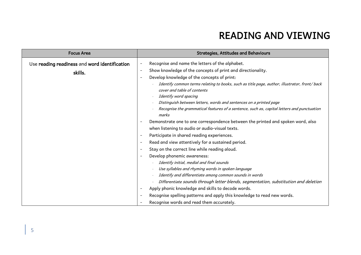## READING AND VIEWING

| <b>Strategies, Attitudes and Behaviours</b>                                                                                                                                                                                                                                                                                                                                                                                                                                                                                                                                                                                                                                                                                                                                                                                                                                                         |
|-----------------------------------------------------------------------------------------------------------------------------------------------------------------------------------------------------------------------------------------------------------------------------------------------------------------------------------------------------------------------------------------------------------------------------------------------------------------------------------------------------------------------------------------------------------------------------------------------------------------------------------------------------------------------------------------------------------------------------------------------------------------------------------------------------------------------------------------------------------------------------------------------------|
| Recognise and name the letters of the alphabet.<br>Show knowledge of the concepts of print and directionality.<br>$\overline{\phantom{a}}$<br>Develop knowledge of the concepts of print:<br>Identify common terms relating to books, such as title page, author, illustrator, front/back<br>cover and table of contents<br>Identify word spacing<br>Distinguish between letters, words and sentences on a printed page<br>Recognise the grammatical features of a sentence, such as, capital letters and punctuation<br>marks<br>Demonstrate one to one correspondence between the printed and spoken word, also<br>when listening to audio or audio-visual texts.<br>Participate in shared reading experiences.<br>Read and view attentively for a sustained period.<br>Stay on the correct line while reading aloud.<br>Develop phonemic awareness:<br>Identify initial, medial and final sounds |
| Use syllables and rhyming words in spoken language<br>Identify and differentiate among common sounds in words<br>Differentiate sounds through letter blends, segmentation, substitution and deletion<br>Apply phonic knowledge and skills to decode words.<br>Recognise spelling patterns and apply this knowledge to read new words.<br>Recognise words and read them accurately.                                                                                                                                                                                                                                                                                                                                                                                                                                                                                                                  |
|                                                                                                                                                                                                                                                                                                                                                                                                                                                                                                                                                                                                                                                                                                                                                                                                                                                                                                     |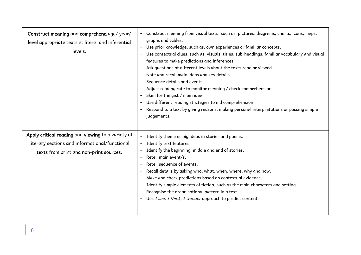| Construct meaning and comprehend age/year/<br>level appropriate texts at literal and inferential<br>levels.                                     | Construct meaning from visual texts, such as, pictures, diagrams, charts, icons, maps,<br>graphs and tables.<br>Use prior knowledge, such as, own experiences or familiar concepts.<br>$\overline{\phantom{a}}$<br>Use contextual clues, such as, visuals, titles, sub-headings, familiar vocabulary and visual<br>features to make predictions and inferences.<br>Ask questions at different levels about the texts read or viewed.<br>Note and recall main ideas and key details.<br>Sequence details and events.<br>Adjust reading rate to monitor meaning / check comprehension.<br>Skim for the gist / main idea.<br>Use different reading strategies to aid comprehension.<br>Respond to a text by giving reasons, making personal interpretations or passing simple<br>judgements. |
|-------------------------------------------------------------------------------------------------------------------------------------------------|-------------------------------------------------------------------------------------------------------------------------------------------------------------------------------------------------------------------------------------------------------------------------------------------------------------------------------------------------------------------------------------------------------------------------------------------------------------------------------------------------------------------------------------------------------------------------------------------------------------------------------------------------------------------------------------------------------------------------------------------------------------------------------------------|
| Apply critical reading and viewing to a variety of<br>literary sections and informational/functional<br>texts from print and non-print sources. | Identify theme as big ideas in stories and poems.<br>$\blacksquare$<br>Identify text features.<br>Identify the beginning, middle and end of stories.<br>Retell main event/s.<br>$\overline{\phantom{a}}$<br>Retell sequence of events.<br>Recall details by asking who, what, when, where, why and how.<br>Make and check predictions based on contextual evidence.<br>Identify simple elements of fiction, such as the main characters and setting.<br>Recognise the organisational pattern in a text.<br>Use I see, I think, I wonder approach to predict content.                                                                                                                                                                                                                      |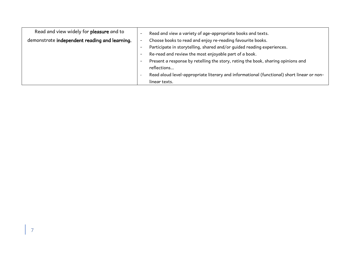| Read and view widely for pleasure and to      | Read and view a variety of age-appropriate books and texts.                               |
|-----------------------------------------------|-------------------------------------------------------------------------------------------|
| demonstrate independent reading and learning. | Choose books to read and enjoy re-reading favourite books.                                |
|                                               | Participate in storytelling, shared and/or guided reading experiences.                    |
|                                               | Re-read and review the most enjoyable part of a book.                                     |
|                                               | Present a response by retelling the story, rating the book, sharing opinions and          |
|                                               | reflections                                                                               |
|                                               | Read aloud level-appropriate literary and informational (functional) short linear or non- |
|                                               | linear texts.                                                                             |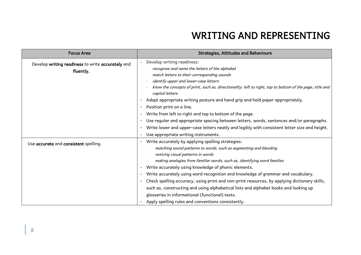## WRITING AND REPRESENTING

| <b>Focus Area</b>                                              | <b>Strategies, Attitudes and Behaviours</b>                                                                                 |
|----------------------------------------------------------------|-----------------------------------------------------------------------------------------------------------------------------|
| Develop writing readiness to write accurately and<br>fluently. | Develop writing readiness:<br>recognise and name the letters of the alphabet<br>match letters to their corresponding sounds |
|                                                                | identify upper and lower-case letters                                                                                       |
|                                                                | know the concepts of print, such as, directionality: left to right, top to bottom of the page, title and<br>capital letters |
|                                                                | Adopt appropriate writing posture and hand grip and hold paper appropriately.                                               |
|                                                                | Position print on a line.                                                                                                   |
|                                                                | Write from left to right and top to bottom of the page.                                                                     |
|                                                                | Use regular and appropriate spacing between letters, words, sentences and/or paragraphs.                                    |
|                                                                | Write lower and upper-case letters neatly and legibly with consistent letter size and height.                               |
|                                                                | Use appropriate writing instruments.                                                                                        |
| Use accurate and consistent spelling.                          | Write accurately by applying spelling strategies:                                                                           |
|                                                                | matching sound patterns to words, such as segmenting and blending                                                           |
|                                                                | noticing visual patterns in words                                                                                           |
|                                                                | making analogies from familiar words, such as, identifying word families                                                    |
|                                                                | Write accurately using knowledge of phonic elements.                                                                        |
|                                                                | Write accurately using word recognition and knowledge of grammar and vocabulary.                                            |
|                                                                | Check spelling accuracy, using print and non-print resources, by applying dictionary skills,                                |
|                                                                | such as, constructing and using alphabetical lists and alphabet books and looking up                                        |
|                                                                | glossaries in informational (functional) texts.                                                                             |
|                                                                | Apply spelling rules and conventions consistently.                                                                          |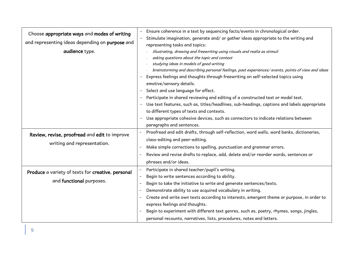| Choose appropriate ways and modes of writing<br>and representing ideas depending on purpose and<br>audience type. | Ensure coherence in a text by sequencing facts/events in chronological order.<br>Stimulate imagination, generate and/ or gather ideas appropriate to the writing and<br>representing tasks and topics:<br>illustrating, drawing and freewriting using visuals and realia as stimuli<br>asking questions about the topic and context<br>studying ideas in models of good writing<br>brainstorming and describing personal feelings, past experiences/ events, points of view and ideas<br>Express feelings and thoughts through freewriting on self-selected topics using<br>emotive/sensory details.<br>Select and use language for effect.<br>Participate in shared reviewing and editing of a constructed text or model text.<br>Use text features, such as, titles/headlines, sub-headings, captions and labels appropriate<br>to different types of texts and contexts.<br>Use appropriate cohesive devices, such as connectors to indicate relations between<br>paragraphs and sentences. |
|-------------------------------------------------------------------------------------------------------------------|------------------------------------------------------------------------------------------------------------------------------------------------------------------------------------------------------------------------------------------------------------------------------------------------------------------------------------------------------------------------------------------------------------------------------------------------------------------------------------------------------------------------------------------------------------------------------------------------------------------------------------------------------------------------------------------------------------------------------------------------------------------------------------------------------------------------------------------------------------------------------------------------------------------------------------------------------------------------------------------------|
| Review, revise, proofread and edit to improve<br>writing and representation.                                      | Proofread and edit drafts, through self-reflection, word walls, word banks, dictionaries,<br>class-editing and peer-editing.<br>Make simple corrections to spelling, punctuation and grammar errors.                                                                                                                                                                                                                                                                                                                                                                                                                                                                                                                                                                                                                                                                                                                                                                                           |
|                                                                                                                   | Review and revise drafts to replace, add, delete and/or reorder words, sentences or<br>$\overline{\phantom{0}}$                                                                                                                                                                                                                                                                                                                                                                                                                                                                                                                                                                                                                                                                                                                                                                                                                                                                                |
|                                                                                                                   | phrases and/or ideas.                                                                                                                                                                                                                                                                                                                                                                                                                                                                                                                                                                                                                                                                                                                                                                                                                                                                                                                                                                          |
| Produce a variety of texts for creative, personal<br>and functional purposes.                                     | Participate in shared teacher/pupil's writing.<br>Begin to write sentences according to ability.<br>$\overline{a}$<br>Begin to take the initiative to write and generate sentences/texts.<br>Demonstrate ability to use acquired vocabulary in writing.<br>$\overline{\phantom{0}}$<br>Create and write own texts according to interests, emergent theme or purpose, in order to                                                                                                                                                                                                                                                                                                                                                                                                                                                                                                                                                                                                               |
|                                                                                                                   | express feelings and thoughts.<br>Begin to experiment with different text genres, such as, poetry, rhymes, songs, jingles,<br>personal recounts, narratives, lists, procedures, notes and letters.                                                                                                                                                                                                                                                                                                                                                                                                                                                                                                                                                                                                                                                                                                                                                                                             |